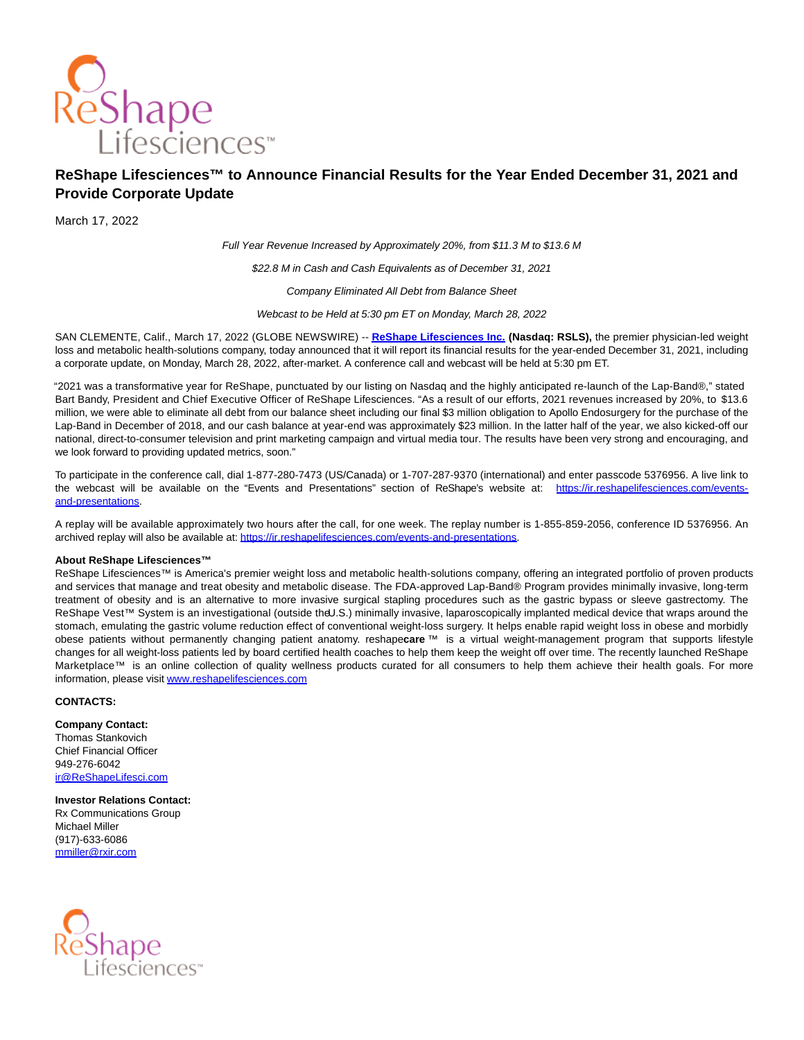

## **ReShape Lifesciences™ to Announce Financial Results for the Year Ended December 31, 2021 and Provide Corporate Update**

March 17, 2022

Full Year Revenue Increased by Approximately 20%, from \$11.3 M to \$13.6 M

\$22.8 M in Cash and Cash Equivalents as of December 31, 2021

Company Eliminated All Debt from Balance Sheet

Webcast to be Held at 5:30 pm ET on Monday, March 28, 2022

SAN CLEMENTE, Calif., March 17, 2022 (GLOBE NEWSWIRE) -- **[ReShape Lifesciences Inc. \(](https://www.globenewswire.com/Tracker?data=iRazmHSfHTBa5Fk4MI7S6g5vIbI_4x-It5CQ7R8CLYHnd7Fjm44gsPaSsd397Qx9fbsCZolLfXvxAgxZM0TegISfPZ3eqIgZUIe38QIv_lRuVsrjjYAYUooXDHxgJRmF)Nasdaq: RSLS),** the premier physician-led weight loss and metabolic health-solutions company, today announced that it will report its financial results for the year-ended December 31, 2021, including a corporate update, on Monday, March 28, 2022, after-market. A conference call and webcast will be held at 5:30 pm ET.

"2021 was a transformative year for ReShape, punctuated by our listing on Nasdaq and the highly anticipated re-launch of the Lap-Band®," stated Bart Bandy, President and Chief Executive Officer of ReShape Lifesciences. "As a result of our efforts, 2021 revenues increased by 20%, to \$13.6 million, we were able to eliminate all debt from our balance sheet including our final \$3 million obligation to Apollo Endosurgery for the purchase of the Lap-Band in December of 2018, and our cash balance at year-end was approximately \$23 million. In the latter half of the year, we also kicked-off our national, direct-to-consumer television and print marketing campaign and virtual media tour. The results have been very strong and encouraging, and we look forward to providing updated metrics, soon."

To participate in the conference call, dial 1-877-280-7473 (US/Canada) or 1-707-287-9370 (international) and enter passcode 5376956. A live link to the webcast will be available on the "Events and Presentations" section of ReShape's website at: [https://ir.reshapelifesciences.com/events](https://www.globenewswire.com/Tracker?data=PiFUGT9UQHQpwnxGpHzRjlTAWfCsqUB-xRnDI1St3kkVSUsjoHinqOwfmpzjbXRSGFK5y2nDOtZwihV-KvDvdSx_GRtkeLT5ZuHeNCVi2Zk0yv0-sYbCoyNfR52dUqOVryJf5wsjhO_t3dlh7IkFgUcWsw-iBPWq66Y7ZbX8ou2RECBWb_5XwJCMiurTAdND)and-presentations.

A replay will be available approximately two hours after the call, for one week. The replay number is 1-855-859-2056, conference ID 5376956. An archived replay will also be available at[: https://ir.reshapelifesciences.com/events-and-presentations.](https://www.globenewswire.com/Tracker?data=PiFUGT9UQHQpwnxGpHzRjlTAWfCsqUB-xRnDI1St3kkVSUsjoHinqOwfmpzjbXRSGFK5y2nDOtZwihV-KvDvdUmi_esUbpxQr4H3d31upPwHMU3JPMAcDbVP5RZzJ3KAQeOwivnBKciEOgqQV5a0uwsvgEZLvbdygKYgbKaNYwbnwr61ra4ZMBsMWe7OlHE0)

## **About ReShape Lifesciences™**

ReShape Lifesciences™ is America's premier weight loss and metabolic health-solutions company, offering an integrated portfolio of proven products and services that manage and treat obesity and metabolic disease. The FDA-approved Lap-Band® Program provides minimally invasive, long-term treatment of obesity and is an alternative to more invasive surgical stapling procedures such as the gastric bypass or sleeve gastrectomy. The ReShape Vest™ System is an investigational (outside the U.S.) minimally invasive, laparoscopically implanted medical device that wraps around the stomach, emulating the gastric volume reduction effect of conventional weight-loss surgery. It helps enable rapid weight loss in obese and morbidly obese patients without permanently changing patient anatomy. reshape**care** ™ is a virtual weight-management program that supports lifestyle changes for all weight-loss patients led by board certified health coaches to help them keep the weight off over time. The recently launched ReShape Marketplace™ is an online collection of quality wellness products curated for all consumers to help them achieve their health goals. For more information, please visi[t www.reshapelifesciences.com](https://www.globenewswire.com/Tracker?data=Tx3a3UFWeZMBic8L927aqnHfRgNmxLFrrxq3LplMsXyKucTPfOWJQVwxB6BQd2Op9jwYOnx5LL8fkq01YIPJajCb-z-aLRjls_TQCeKBXSV6rY8f2NAnIcZQPyYVf1Gr)

## **CONTACTS:**

**Company Contact:**  Thomas Stankovich Chief Financial Officer 949-276-6042 [ir@ReShapeLifesci.com](https://www.globenewswire.com/Tracker?data=mCLWr8vrOGfsVFIqd69GzV4eiJgrbKoiAS2yAmSebSz1TGa2jYcEvJ1W7damlNZKgACf8ka3wJgzUuUG4JoTwWfcEAWw8Q73Pz48DJjM16I=) 

## **Investor Relations Contact:** Rx Communications Group

Michael Miller (917)-633-6086 [mmiller@rxir.com](https://www.globenewswire.com/Tracker?data=e41KWFz5pUmYbVDP_MwTVR2sY8KrB_7H1P2THIYQGwWxKasuxh7_aClKkGIlTpkYJui3omwzLTY9h9Gpg8cWow==)